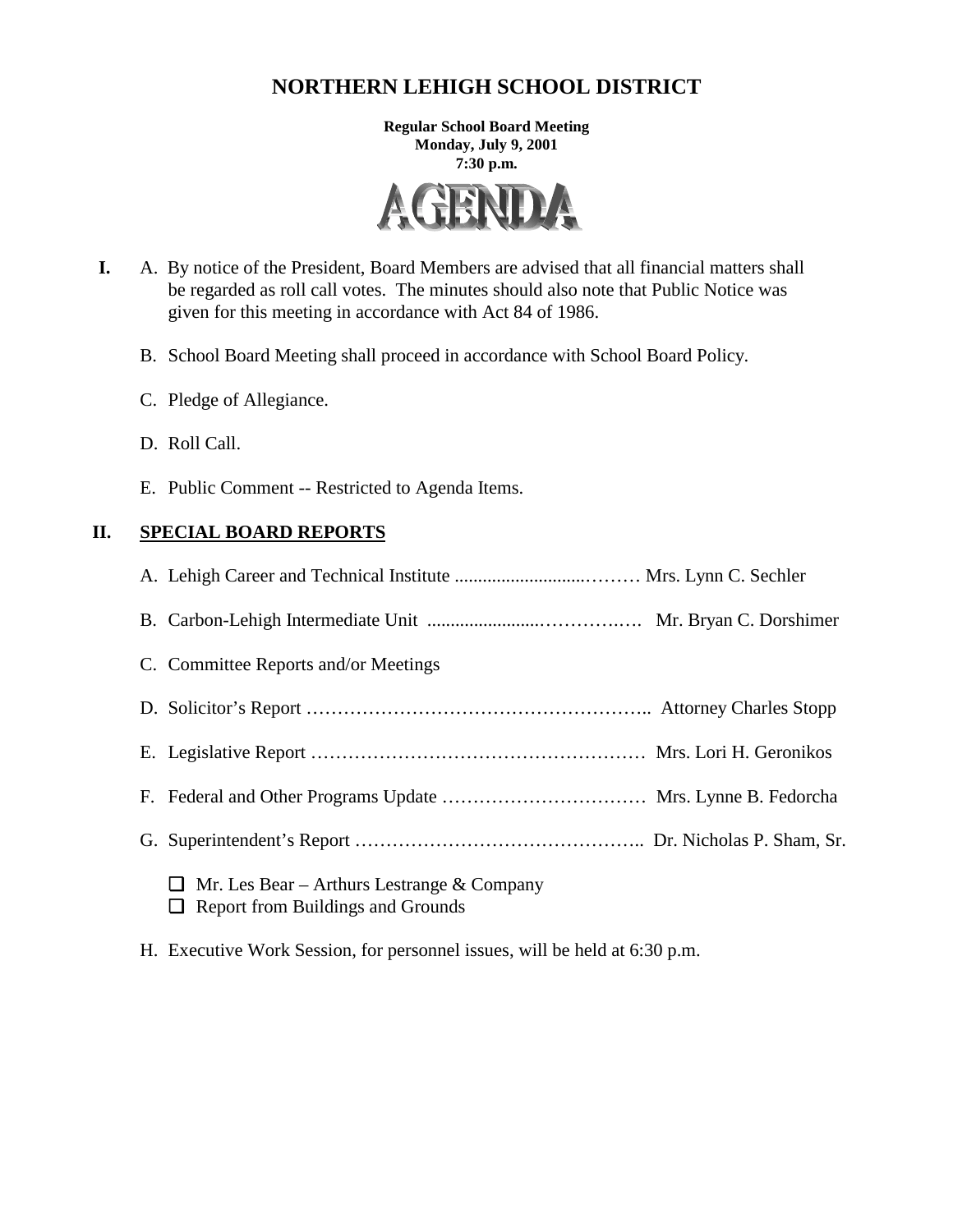# **NORTHERN LEHIGH SCHOOL DISTRICT**

**Regular School Board Meeting Monday, July 9, 2001 7:30 p.m.**



- **I.** A. By notice of the President, Board Members are advised that all financial matters shall be regarded as roll call votes. The minutes should also note that Public Notice was given for this meeting in accordance with Act 84 of 1986.
	- B. School Board Meeting shall proceed in accordance with School Board Policy.
	- C. Pledge of Allegiance.
	- D. Roll Call.
	- E. Public Comment -- Restricted to Agenda Items.

### **II. SPECIAL BOARD REPORTS**

| C. Committee Reports and/or Meetings                                                  |  |
|---------------------------------------------------------------------------------------|--|
|                                                                                       |  |
|                                                                                       |  |
|                                                                                       |  |
|                                                                                       |  |
| Mr. Les Bear – Arthurs Lestrange & Company<br>U.<br>Report from Buildings and Grounds |  |

H. Executive Work Session, for personnel issues, will be held at 6:30 p.m.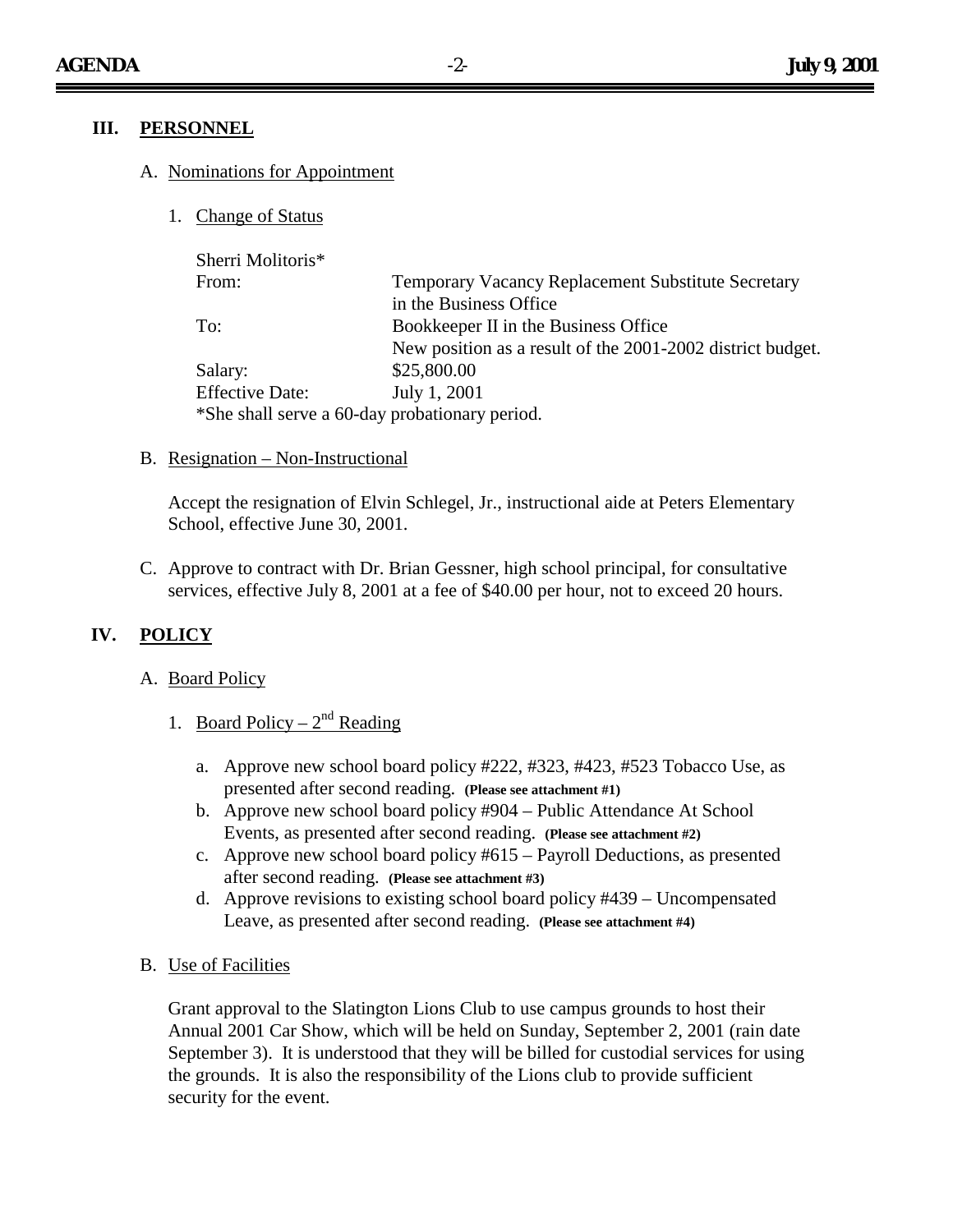### **III. PERSONNEL**

#### A. Nominations for Appointment

1. Change of Status

| Sherri Molitoris*      |                                                            |
|------------------------|------------------------------------------------------------|
| From:                  | <b>Temporary Vacancy Replacement Substitute Secretary</b>  |
|                        | in the Business Office                                     |
| To:                    | Bookkeeper II in the Business Office                       |
|                        | New position as a result of the 2001-2002 district budget. |
| Salary:                | \$25,800.00                                                |
| <b>Effective Date:</b> | July 1, 2001                                               |
|                        | *She shall serve a 60-day probationary period.             |

#### B. Resignation – Non-Instructional

Accept the resignation of Elvin Schlegel, Jr., instructional aide at Peters Elementary School, effective June 30, 2001.

C. Approve to contract with Dr. Brian Gessner, high school principal, for consultative services, effective July 8, 2001 at a fee of \$40.00 per hour, not to exceed 20 hours.

### **IV. POLICY**

#### A. Board Policy

- 1. Board Policy  $2^{nd}$  Reading
	- a. Approve new school board policy #222, #323, #423, #523 Tobacco Use, as presented after second reading. **(Please see attachment #1)**
	- b. Approve new school board policy #904 Public Attendance At School Events, as presented after second reading. **(Please see attachment #2)**
	- c. Approve new school board policy #615 Payroll Deductions, as presented after second reading. **(Please see attachment #3)**
	- d. Approve revisions to existing school board policy #439 Uncompensated Leave, as presented after second reading. **(Please see attachment #4)**
- B. Use of Facilities

Grant approval to the Slatington Lions Club to use campus grounds to host their Annual 2001 Car Show, which will be held on Sunday, September 2, 2001 (rain date September 3). It is understood that they will be billed for custodial services for using the grounds. It is also the responsibility of the Lions club to provide sufficient security for the event.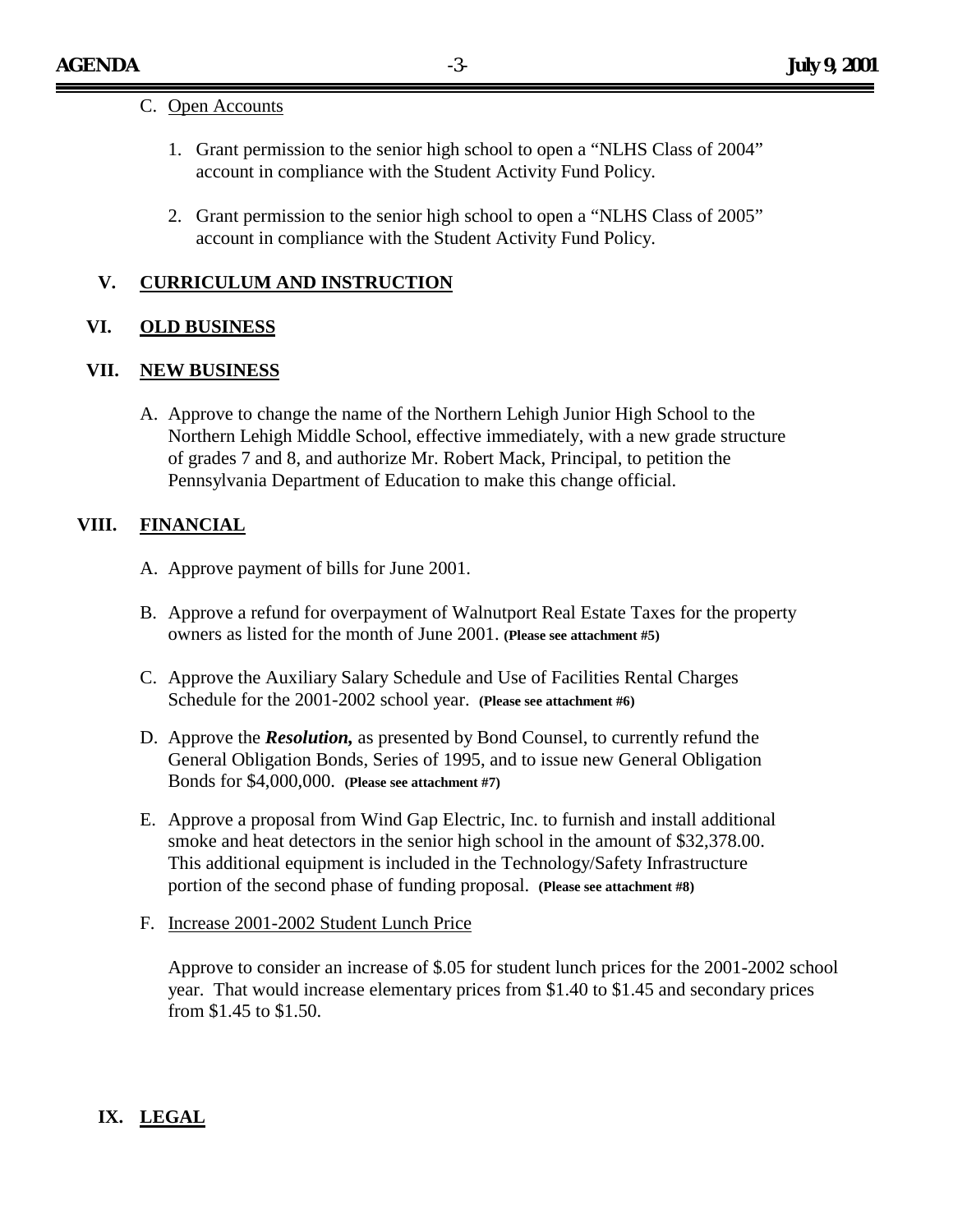#### C. Open Accounts

- 1. Grant permission to the senior high school to open a "NLHS Class of 2004" account in compliance with the Student Activity Fund Policy.
- 2. Grant permission to the senior high school to open a "NLHS Class of 2005" account in compliance with the Student Activity Fund Policy.

### **V. CURRICULUM AND INSTRUCTION**

### **VI. OLD BUSINESS**

#### **VII. NEW BUSINESS**

A. Approve to change the name of the Northern Lehigh Junior High School to the Northern Lehigh Middle School, effective immediately, with a new grade structure of grades 7 and 8, and authorize Mr. Robert Mack, Principal, to petition the Pennsylvania Department of Education to make this change official.

### **VIII. FINANCIAL**

- A. Approve payment of bills for June 2001.
- B. Approve a refund for overpayment of Walnutport Real Estate Taxes for the property owners as listed for the month of June 2001. **(Please see attachment #5)**
- C. Approve the Auxiliary Salary Schedule and Use of Facilities Rental Charges Schedule for the 2001-2002 school year. **(Please see attachment #6)**
- D. Approve the *Resolution,* as presented by Bond Counsel, to currently refund the General Obligation Bonds, Series of 1995, and to issue new General Obligation Bonds for \$4,000,000. **(Please see attachment #7)**
- E. Approve a proposal from Wind Gap Electric, Inc. to furnish and install additional smoke and heat detectors in the senior high school in the amount of \$32,378.00. This additional equipment is included in the Technology/Safety Infrastructure portion of the second phase of funding proposal. **(Please see attachment #8)**
- F. Increase 2001-2002 Student Lunch Price

Approve to consider an increase of \$.05 for student lunch prices for the 2001-2002 school year. That would increase elementary prices from \$1.40 to \$1.45 and secondary prices from \$1.45 to \$1.50.

## **IX. LEGAL**